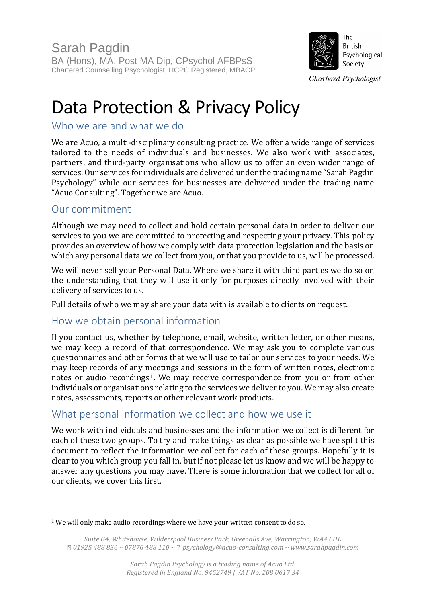

# Data Protection & Privacy Policy

# Who we are and what we do

We are Acuo, a multi-disciplinary consulting practice. We offer a wide range of services tailored to the needs of individuals and businesses. We also work with associates, partners, and third-party organisations who allow us to offer an even wider range of services. Our services for individuals are delivered under the trading name "Sarah Pagdin Psychology" while our services for businesses are delivered under the trading name "Acuo Consulting". Together we are Acuo.

# Our commitment

 $\overline{a}$ 

Although we may need to collect and hold certain personal data in order to deliver our services to you we are committed to protecting and respecting your privacy. This policy provides an overview of how we comply with data protection legislation and the basis on which any personal data we collect from you, or that you provide to us, will be processed.

We will never sell your Personal Data. Where we share it with third parties we do so on the understanding that they will use it only for purposes directly involved with their delivery of services to us.

Full details of who we may share your data with is available to clients on request.

# How we obtain personal information

If you contact us, whether by telephone, email, website, written letter, or other means, we may keep a record of that correspondence. We may ask you to complete various questionnaires and other forms that we will use to tailor our services to your needs. We may keep records of any meetings and sessions in the form of written notes, electronic notes or audio recordings<sup>1</sup>. We may receive correspondence from you or from other individuals or organisations relating to the services we deliver to you. We may also create notes, assessments, reports or other relevant work products.

# What personal information we collect and how we use it

We work with individuals and businesses and the information we collect is different for each of these two groups. To try and make things as clear as possible we have split this document to reflect the information we collect for each of these groups. Hopefully it is clear to you which group you fall in, but if not please let us know and we will be happy to answer any questions you may have. There is some information that we collect for all of our clients, we cover this first.

<sup>1</sup> We will only make audio recordings where we have your written consent to do so.

*Suite G4, Whitehouse, Wilderspool Business Park, Greenalls Ave, Warrington, WA4 6HL 01925 488 836 ~ 07876 488 110 ~ psychology@acuo-consulting.com ~ www.sarahpagdin.com*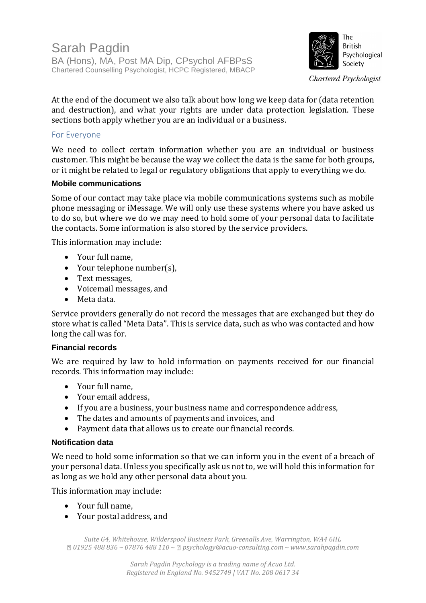

At the end of the document we also talk about how long we keep data for (data retention and destruction), and what your rights are under data protection legislation. These sections both apply whether you are an individual or a business.

### For Everyone

We need to collect certain information whether you are an individual or business customer. This might be because the way we collect the data is the same for both groups, or it might be related to legal or regulatory obligations that apply to everything we do.

### **Mobile communications**

Some of our contact may take place via mobile communications systems such as mobile phone messaging or iMessage. We will only use these systems where you have asked us to do so, but where we do we may need to hold some of your personal data to facilitate the contacts. Some information is also stored by the service providers.

This information may include:

- Your full name,
- Your telephone number(s),
- Text messages,
- Voicemail messages, and
- Meta data.

Service providers generally do not record the messages that are exchanged but they do store what is called "Meta Data". This is service data, such as who was contacted and how long the call was for.

### **Financial records**

We are required by law to hold information on payments received for our financial records. This information may include:

- Your full name,
- Your email address,
- If you are a business, your business name and correspondence address,
- The dates and amounts of payments and invoices, and
- Payment data that allows us to create our financial records.

### **Notification data**

We need to hold some information so that we can inform you in the event of a breach of your personal data. Unless you specifically ask us not to, we will hold this information for as long as we hold any other personal data about you.

This information may include:

- Your full name,
- Your postal address, and

*Suite G4, Whitehouse, Wilderspool Business Park, Greenalls Ave, Warrington, WA4 6HL 01925 488 836 ~ 07876 488 110 ~ psychology@acuo-consulting.com ~ www.sarahpagdin.com*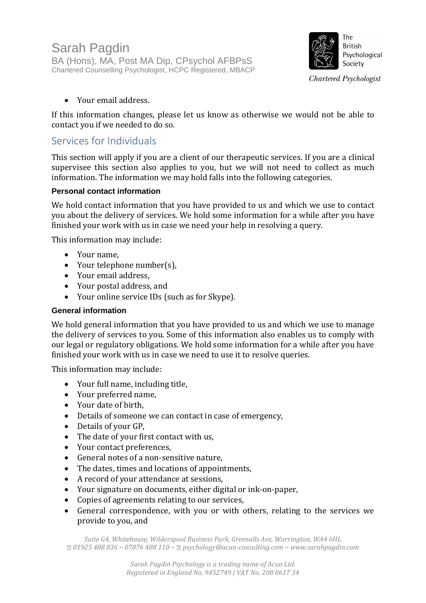

• Your email address.

If this information changes, please let us know as otherwise we would not be able to contact you if we needed to do so.

### Services for Individuals

This section will apply if you are a client of our therapeutic services. If you are a clinical supervisee this section also applies to you, but we will not need to collect as much information. The information we may hold falls into the following categories.

### **Personal contact information**

We hold contact information that you have provided to us and which we use to contact you about the delivery of services. We hold some information for a while after you have finished your work with us in case we need your help in resolving a query.

This information may include:

- Your name,
- Your telephone number(s),
- Your email address,
- Your postal address, and
- Your online service IDs (such as for Skype).

### **General information**

We hold general information that you have provided to us and which we use to manage the delivery of services to you. Some of this information also enables us to comply with our legal or regulatory obligations. We hold some information for a while after you have finished your work with us in case we need to use it to resolve queries.

This information may include:

- Your full name, including title,
- Your preferred name,
- Your date of birth,
- Details of someone we can contact in case of emergency,
- Details of your GP,
- The date of your first contact with us,
- Your contact preferences,
- General notes of a non-sensitive nature,
- The dates, times and locations of appointments,
- A record of your attendance at sessions,
- Your signature on documents, either digital or ink-on-paper,
- Copies of agreements relating to our services,
- General correspondence, with you or with others, relating to the services we provide to you, and

*Suite G4, Whitehouse, Wilderspool Business Park, Greenalls Ave, Warrington, WA4 6HL 01925 488 836 ~ 07876 488 110 ~ psychology@acuo-consulting.com ~ www.sarahpagdin.com*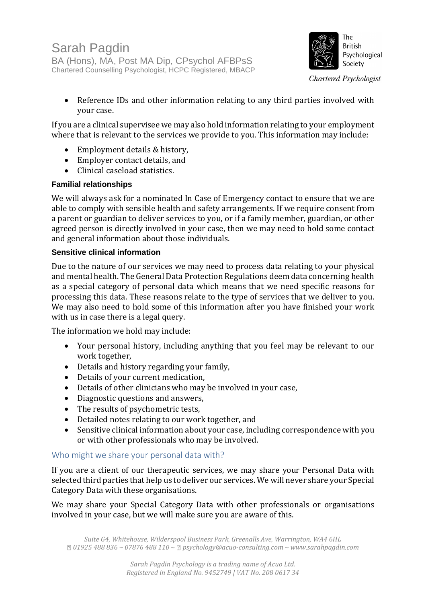

• Reference IDs and other information relating to any third parties involved with your case.

If you are a clinical supervisee we may also hold information relating to your employment where that is relevant to the services we provide to you. This information may include:

- Employment details & history,
- Employer contact details, and
- Clinical caseload statistics.

### **Familial relationships**

We will always ask for a nominated In Case of Emergency contact to ensure that we are able to comply with sensible health and safety arrangements. If we require consent from a parent or guardian to deliver services to you, or if a family member, guardian, or other agreed person is directly involved in your case, then we may need to hold some contact and general information about those individuals.

### **Sensitive clinical information**

Due to the nature of our services we may need to process data relating to your physical and mental health. The General Data Protection Regulations deem data concerning health as a special category of personal data which means that we need specific reasons for processing this data. These reasons relate to the type of services that we deliver to you. We may also need to hold some of this information after you have finished your work with us in case there is a legal query.

The information we hold may include:

- Your personal history, including anything that you feel may be relevant to our work together,
- Details and history regarding your family,
- Details of your current medication,
- Details of other clinicians who may be involved in your case,
- Diagnostic questions and answers,
- The results of psychometric tests,
- Detailed notes relating to our work together, and
- Sensitive clinical information about your case, including correspondence with you or with other professionals who may be involved.

### Who might we share your personal data with?

If you are a client of our therapeutic services, we may share your Personal Data with selected third parties that help us to deliver our services. We will never share your Special Category Data with these organisations.

We may share your Special Category Data with other professionals or organisations involved in your case, but we will make sure you are aware of this.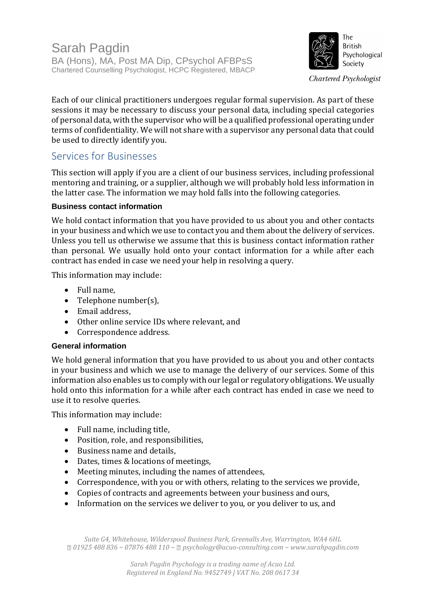

Each of our clinical practitioners undergoes regular formal supervision. As part of these sessions it may be necessary to discuss your personal data, including special categories of personal data, with the supervisor who will be a qualified professional operating under terms of confidentiality. We will not share with a supervisor any personal data that could be used to directly identify you.

# Services for Businesses

This section will apply if you are a client of our business services, including professional mentoring and training, or a supplier, although we will probably hold less information in the latter case. The information we may hold falls into the following categories.

### **Business contact information**

We hold contact information that you have provided to us about you and other contacts in your business and which we use to contact you and them about the delivery of services. Unless you tell us otherwise we assume that this is business contact information rather than personal. We usually hold onto your contact information for a while after each contract has ended in case we need your help in resolving a query.

This information may include:

- Full name,
- Telephone number(s),
- Email address,
- Other online service IDs where relevant, and
- Correspondence address.

### **General information**

We hold general information that you have provided to us about you and other contacts in your business and which we use to manage the delivery of our services. Some of this information also enables us to comply with our legal or regulatory obligations. We usually hold onto this information for a while after each contract has ended in case we need to use it to resolve queries.

This information may include:

- Full name, including title,
- Position, role, and responsibilities,
- Business name and details,
- Dates, times & locations of meetings,
- Meeting minutes, including the names of attendees,
- Correspondence, with you or with others, relating to the services we provide,
- Copies of contracts and agreements between your business and ours,
- Information on the services we deliver to you, or you deliver to us, and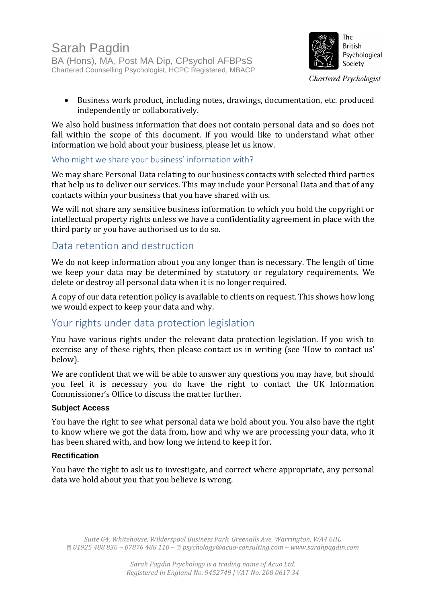

• Business work product, including notes, drawings, documentation, etc. produced independently or collaboratively.

We also hold business information that does not contain personal data and so does not fall within the scope of this document. If you would like to understand what other information we hold about your business, please let us know.

### Who might we share your business' information with?

We may share Personal Data relating to our business contacts with selected third parties that help us to deliver our services. This may include your Personal Data and that of any contacts within your business that you have shared with us.

We will not share any sensitive business information to which you hold the copyright or intellectual property rights unless we have a confidentiality agreement in place with the third party or you have authorised us to do so.

# Data retention and destruction

We do not keep information about you any longer than is necessary. The length of time we keep your data may be determined by statutory or regulatory requirements. We delete or destroy all personal data when it is no longer required.

A copy of our data retention policy is available to clients on request. This shows how long we would expect to keep your data and why.

# Your rights under data protection legislation

You have various rights under the relevant data protection legislation. If you wish to exercise any of these rights, then please contact us in writing (see 'How to contact us' below).

We are confident that we will be able to answer any questions you may have, but should you feel it is necessary you do have the right to contact the UK Information Commissioner's Office to discuss the matter further.

### **Subject Access**

You have the right to see what personal data we hold about you. You also have the right to know where we got the data from, how and why we are processing your data, who it has been shared with, and how long we intend to keep it for.

### **Rectification**

You have the right to ask us to investigate, and correct where appropriate, any personal data we hold about you that you believe is wrong.